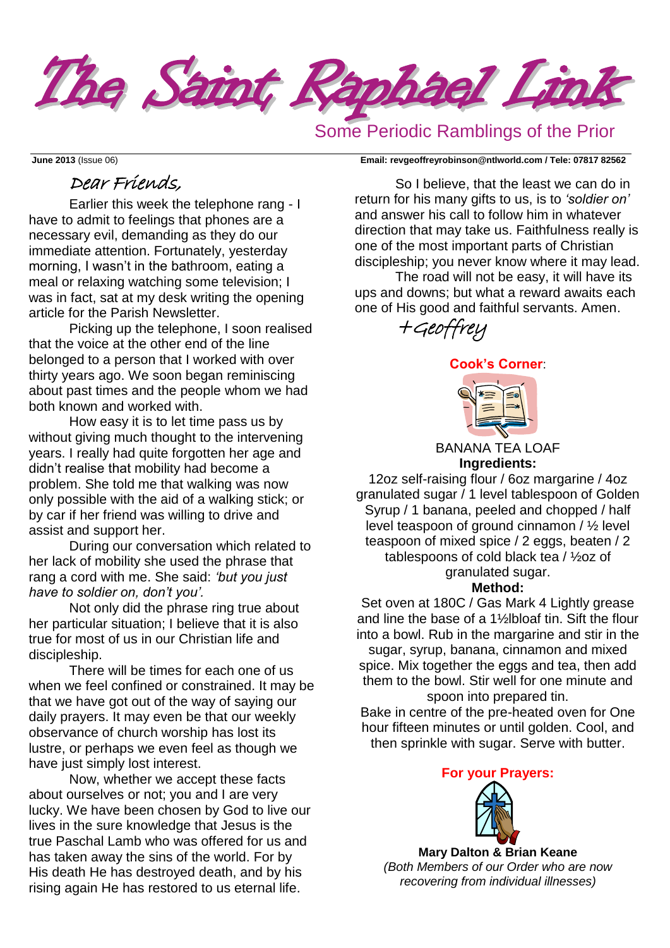

# Some Periodic Ramblings of the Prior

#### **June 2013** (Issue 06) **Email: [revgeoffreyrobinson@ntlworld.com](mailto:revgeoffreyrobinson@ntlworld.com) / Tele: 07817 82562**

# Dear Friends,

Earlier this week the telephone rang - I have to admit to feelings that phones are a necessary evil, demanding as they do our immediate attention. Fortunately, yesterday morning, I wasn't in the bathroom, eating a meal or relaxing watching some television; I was in fact, sat at my desk writing the opening article for the Parish Newsletter.

Picking up the telephone, I soon realised that the voice at the other end of the line belonged to a person that I worked with over thirty years ago. We soon began reminiscing about past times and the people whom we had both known and worked with.

How easy it is to let time pass us by without giving much thought to the intervening years. I really had quite forgotten her age and didn't realise that mobility had become a problem. She told me that walking was now only possible with the aid of a walking stick; or by car if her friend was willing to drive and assist and support her.

During our conversation which related to her lack of mobility she used the phrase that rang a cord with me. She said: *'but you just have to soldier on, don't you'.*

Not only did the phrase ring true about her particular situation; I believe that it is also true for most of us in our Christian life and discipleship.

There will be times for each one of us when we feel confined or constrained. It may be that we have got out of the way of saying our daily prayers. It may even be that our weekly observance of church worship has lost its lustre, or perhaps we even feel as though we have just simply lost interest.

Now, whether we accept these facts about ourselves or not; you and I are very lucky. We have been chosen by God to live our lives in the sure knowledge that Jesus is the true Paschal Lamb who was offered for us and has taken away the sins of the world. For by His death He has destroyed death, and by his rising again He has restored to us eternal life.

So I believe, that the least we can do in return for his many gifts to us, is to *'soldier on'* and answer his call to follow him in whatever direction that may take us. Faithfulness really is one of the most important parts of Christian discipleship; you never know where it may lead.

The road will not be easy, it will have its ups and downs; but what a reward awaits each one of His good and faithful servants. Amen.



## **Cook's Corner**:



BANANA TEA LOAF **Ingredients:**

12oz self-raising flour / 6oz margarine / 4oz granulated sugar / 1 level tablespoon of Golden Syrup / 1 banana, peeled and chopped / half level teaspoon of ground cinnamon / ½ level teaspoon of mixed spice / 2 eggs, beaten / 2 tablespoons of cold black tea / ½oz of granulated sugar.

## **Method:**

Set oven at 180C / Gas Mark 4 Lightly grease and line the base of a 1½lbloaf tin. Sift the flour into a bowl. Rub in the margarine and stir in the sugar, syrup, banana, cinnamon and mixed spice. Mix together the eggs and tea, then add them to the bowl. Stir well for one minute and spoon into prepared tin.

Bake in centre of the pre-heated oven for One hour fifteen minutes or until golden. Cool, and then sprinkle with sugar. Serve with butter.

**For your Prayers:**



**Mary Dalton & Brian Keane** *(Both Members of our Order who are now recovering from individual illnesses)*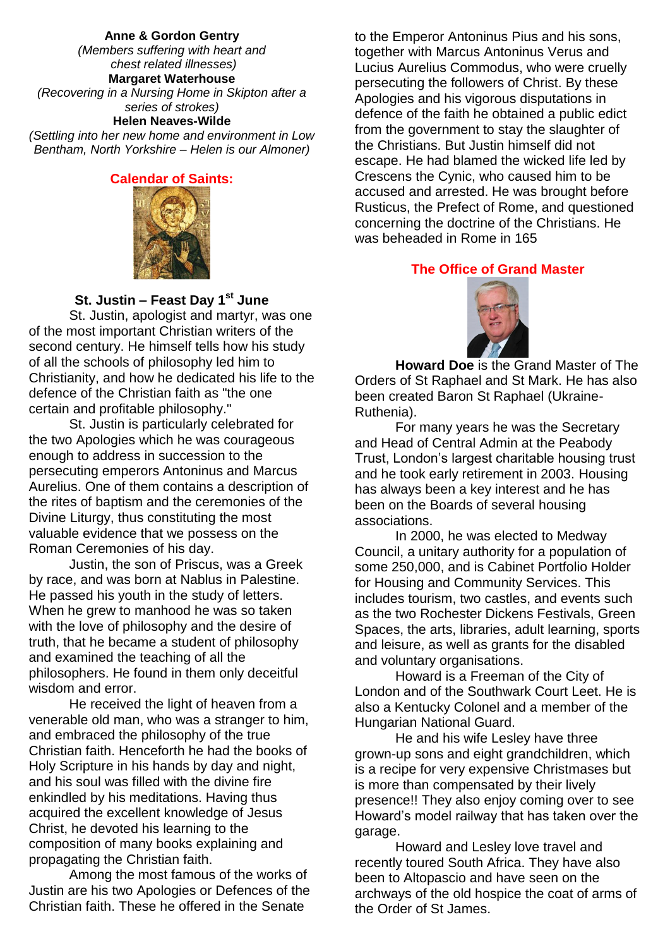#### **Anne & Gordon Gentry**

*(Members suffering with heart and chest related illnesses)* **Margaret Waterhouse** *(Recovering in a Nursing Home in Skipton after a series of strokes)* **Helen Neaves-Wilde**

*(Settling into her new home and environment in Low Bentham, North Yorkshire – Helen is our Almoner)*

### **Calendar of Saints:**



### **St. Justin – Feast Day 1st June**

St. Justin, apologist and martyr, was one of the most important Christian writers of the second century. He himself tells how his study of all the schools of philosophy led him to Christianity, and how he dedicated his life to the defence of the Christian faith as "the one certain and profitable philosophy."

St. Justin is particularly celebrated for the two Apologies which he was courageous enough to address in succession to the persecuting emperors Antoninus and Marcus Aurelius. One of them contains a description of the rites of baptism and the ceremonies of the Divine Liturgy, thus constituting the most valuable evidence that we possess on the Roman Ceremonies of his day.

Justin, the son of Priscus, was a Greek by race, and was born at Nablus in Palestine. He passed his youth in the study of letters. When he grew to manhood he was so taken with the love of philosophy and the desire of truth, that he became a student of philosophy and examined the teaching of all the philosophers. He found in them only deceitful wisdom and error.

He received the light of heaven from a venerable old man, who was a stranger to him, and embraced the philosophy of the true Christian faith. Henceforth he had the books of Holy Scripture in his hands by day and night, and his soul was filled with the divine fire enkindled by his meditations. Having thus acquired the excellent knowledge of Jesus Christ, he devoted his learning to the composition of many books explaining and propagating the Christian faith.

Among the most famous of the works of Justin are his two Apologies or Defences of the Christian faith. These he offered in the Senate

to the Emperor Antoninus Pius and his sons, together with Marcus Antoninus Verus and Lucius Aurelius Commodus, who were cruelly persecuting the followers of Christ. By these Apologies and his vigorous disputations in defence of the faith he obtained a public edict from the government to stay the slaughter of the Christians. But Justin himself did not escape. He had blamed the wicked life led by Crescens the Cynic, who caused him to be accused and arrested. He was brought before Rusticus, the Prefect of Rome, and questioned concerning the doctrine of the Christians. He was beheaded in Rome in 165

### **The Office of Grand Master**



**Howard Doe** is the Grand Master of The Orders of St Raphael and St Mark. He has also been created Baron St Raphael (Ukraine-Ruthenia).

For many years he was the Secretary and Head of Central Admin at the Peabody Trust, London's largest charitable housing trust and he took early retirement in 2003. Housing has always been a key interest and he has been on the Boards of several housing associations.

In 2000, he was elected to Medway Council, a unitary authority for a population of some 250,000, and is Cabinet Portfolio Holder for Housing and Community Services. This includes tourism, two castles, and events such as the two Rochester Dickens Festivals, Green Spaces, the arts, libraries, adult learning, sports and leisure, as well as grants for the disabled and voluntary organisations.

Howard is a Freeman of the City of London and of the Southwark Court Leet. He is also a Kentucky Colonel and a member of the Hungarian National Guard.

He and his wife Lesley have three grown-up sons and eight grandchildren, which is a recipe for very expensive Christmases but is more than compensated by their lively presence!! They also enjoy coming over to see Howard's model railway that has taken over the garage.

Howard and Lesley love travel and recently toured South Africa. They have also been to Altopascio and have seen on the archways of the old hospice the coat of arms of the Order of St James.